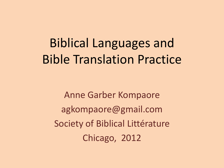# Biblical Languages and Bible Translation Practice

Anne Garber Kompaore agkompaore@gmail.com Society of Biblical Littérature Chicago, 2012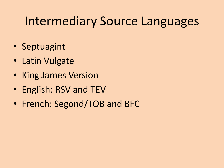### Intermediary Source Languages

- Septuagint
- Latin Vulgate
- King James Version
- English: RSV and TEV
- French: Segond/TOB and BFC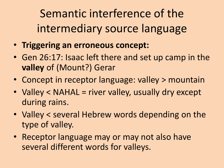Semantic interference of the intermediary source language

- **Triggering an erroneous concept:**
- Gen 26:17: Isaac left there and set up camp in the **valley** of (Mount?) Gerar
- Concept in receptor language: valley > mountain
- Valley < NAHAL = river valley, usually dry except during rains.
- Valley < several Hebrew words depending on the type of valley.
- Receptor language may or may not also have several different words for valleys.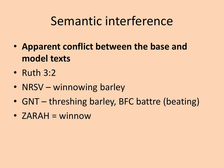## Semantic interference

- **Apparent conflict between the base and model texts**
- Ruth 3:2
- NRSV winnowing barley
- GNT threshing barley, BFC battre (beating)
- ZARAH = winnow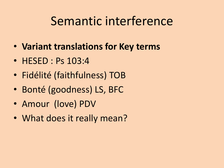### Semantic interference

- **Variant translations for Key terms**
- HESED : Ps 103:4
- Fidélité (faithfulness) TOB
- Bonté (goodness) LS, BFC
- Amour (love) PDV
- What does it really mean?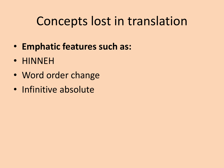## Concepts lost in translation

- **Emphatic features such as:**
- HINNEH
- Word order change
- Infinitive absolute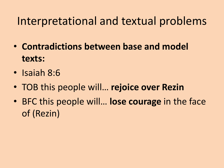#### Interpretational and textual problems

- **Contradictions between base and model texts:**
- Isaiah 8:6
- TOB this people will… **rejoice over Rezin**
- BFC this people will… **lose courage** in the face of (Rezin)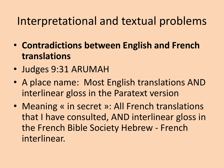#### Interpretational and textual problems

- **Contradictions between English and French translations**
- Judges 9:31 ARUMAH
- A place name: Most English translations AND interlinear gloss in the Paratext version
- Meaning « in secret »: All French translations that I have consulted, AND interlinear gloss in the French Bible Society Hebrew - French interlinear.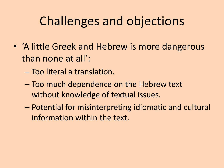# Challenges and objections

- 'A little Greek and Hebrew is more dangerous than none at all':
	- Too literal a translation.
	- Too much dependence on the Hebrew text without knowledge of textual issues.
	- Potential for misinterpreting idiomatic and cultural information within the text.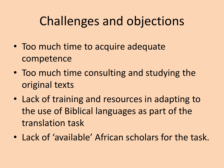# Challenges and objections

- Too much time to acquire adequate competence
- Too much time consulting and studying the original texts
- Lack of training and resources in adapting to the use of Biblical languages as part of the translation task
- Lack of 'available' African scholars for the task.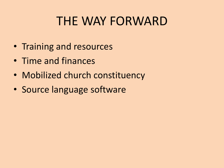### THE WAY FORWARD

- Training and resources
- Time and finances
- Mobilized church constituency
- Source language software